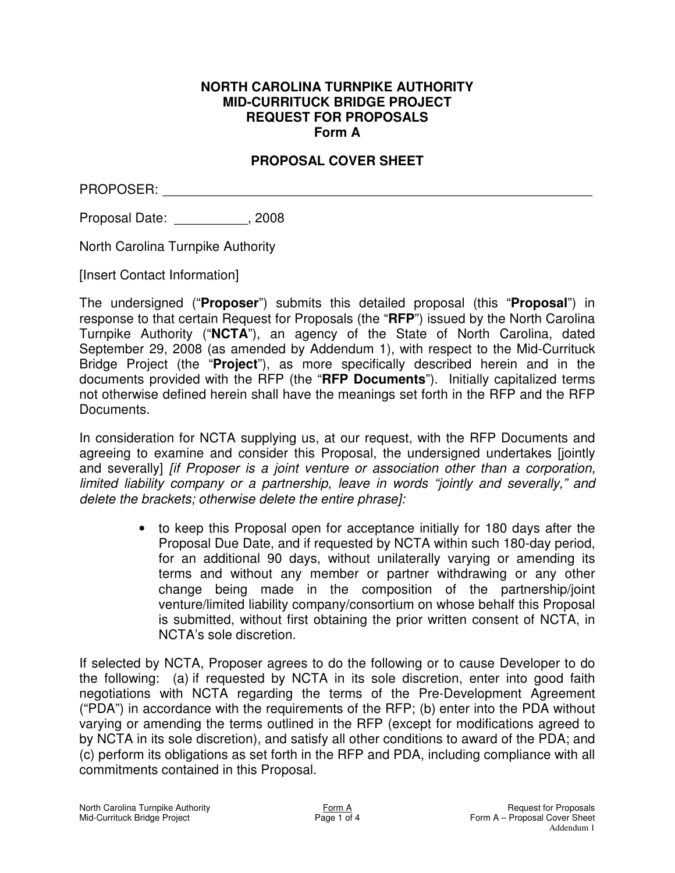# **PROPOSAL COVER SHEET**

PROPOSER:

Proposal Date:  $\qquad \qquad , 2008$ 

North Carolina Turnpike Authority

[Insert Contact Information]

The undersigned ("**Proposer**") submits this detailed proposal (this "**Proposal**") in response to that certain Request for Proposals (the "**RFP**") issued by the North Carolina Turnpike Authority ("**NCTA**"), an agency of the State of North Carolina, dated September 29, 2008 (as amended by Addendum 1), with respect to the Mid-Currituck Bridge Project (the "**Project**"), as more specifically described herein and in the documents provided with the RFP (the "**RFP Documents**"). Initially capitalized terms not otherwise defined herein shall have the meanings set forth in the RFP and the RFP Documents.

In consideration for NCTA supplying us, at our request, with the RFP Documents and agreeing to examine and consider this Proposal, the undersigned undertakes [jointly and severally] *[if Proposer is a joint venture or association other than a corporation, limited liability company or a partnership, leave in words "jointly and severally," and delete the brackets; otherwise delete the entire phrase]:*

> • to keep this Proposal open for acceptance initially for 180 days after the Proposal Due Date, and if requested by NCTA within such 180-day period, for an additional 90 days, without unilaterally varying or amending its terms and without any member or partner withdrawing or any other change being made in the composition of the partnership/joint venture/limited liability company/consortium on whose behalf this Proposal is submitted, without first obtaining the prior written consent of NCTA, in NCTA's sole discretion.

If selected by NCTA, Proposer agrees to do the following or to cause Developer to do the following: (a) if requested by NCTA in its sole discretion, enter into good faith negotiations with NCTA regarding the terms of the Pre-Development Agreement ("PDA") in accordance with the requirements of the RFP; (b) enter into the PDA without varying or amending the terms outlined in the RFP (except for modifications agreed to by NCTA in its sole discretion), and satisfy all other conditions to award of the PDA; and (c) perform its obligations as set forth in the RFP and PDA, including compliance with all commitments contained in this Proposal.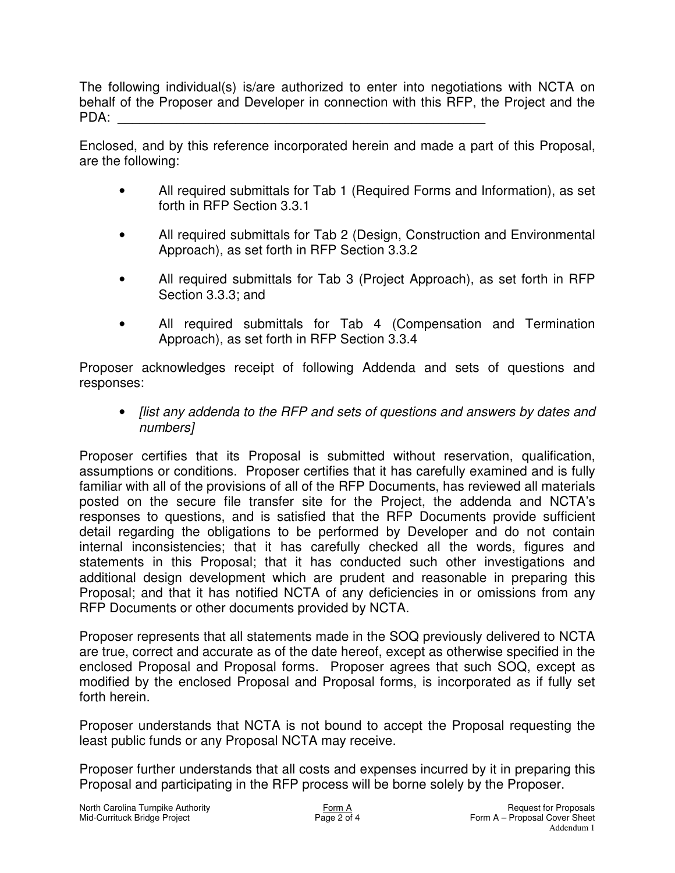The following individual(s) is/are authorized to enter into negotiations with NCTA on behalf of the Proposer and Developer in connection with this RFP, the Project and the PDA: \_\_\_\_\_\_\_\_\_\_\_\_\_\_\_\_\_\_\_\_\_\_\_\_\_\_\_\_\_\_\_\_\_\_\_\_\_\_\_\_\_\_\_\_\_\_\_\_\_\_

Enclosed, and by this reference incorporated herein and made a part of this Proposal, are the following:

- All required submittals for Tab 1 (Required Forms and Information), as set forth in RFP Section 3.3.1
- All required submittals for Tab 2 (Design, Construction and Environmental Approach), as set forth in RFP Section 3.3.2
- All required submittals for Tab 3 (Project Approach), as set forth in RFP Section 3.3.3; and
- All required submittals for Tab 4 (Compensation and Termination Approach), as set forth in RFP Section 3.3.4

Proposer acknowledges receipt of following Addenda and sets of questions and responses:

• *[list any addenda to the RFP and sets of questions and answers by dates and numbers]*

Proposer certifies that its Proposal is submitted without reservation, qualification, assumptions or conditions. Proposer certifies that it has carefully examined and is fully familiar with all of the provisions of all of the RFP Documents, has reviewed all materials posted on the secure file transfer site for the Project, the addenda and NCTA's responses to questions, and is satisfied that the RFP Documents provide sufficient detail regarding the obligations to be performed by Developer and do not contain internal inconsistencies; that it has carefully checked all the words, figures and statements in this Proposal; that it has conducted such other investigations and additional design development which are prudent and reasonable in preparing this Proposal; and that it has notified NCTA of any deficiencies in or omissions from any RFP Documents or other documents provided by NCTA.

Proposer represents that all statements made in the SOQ previously delivered to NCTA are true, correct and accurate as of the date hereof, except as otherwise specified in the enclosed Proposal and Proposal forms. Proposer agrees that such SOQ, except as modified by the enclosed Proposal and Proposal forms, is incorporated as if fully set forth herein.

Proposer understands that NCTA is not bound to accept the Proposal requesting the least public funds or any Proposal NCTA may receive.

Proposer further understands that all costs and expenses incurred by it in preparing this Proposal and participating in the RFP process will be borne solely by the Proposer.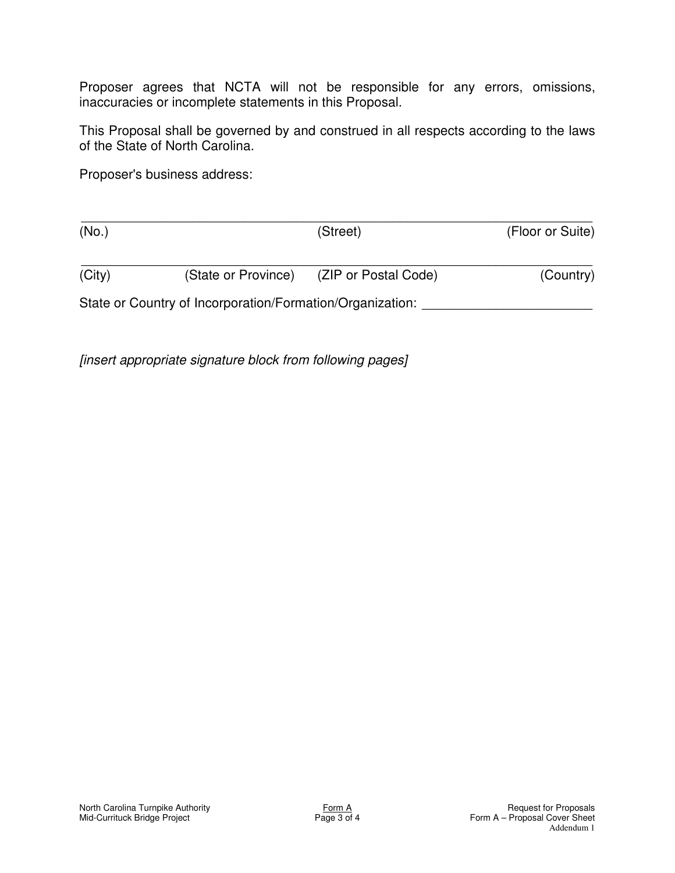Proposer agrees that NCTA will not be responsible for any errors, omissions, inaccuracies or incomplete statements in this Proposal.

This Proposal shall be governed by and construed in all respects according to the laws of the State of North Carolina.

Proposer's business address:

| (No.)  |                                                           | (Street)             | (Floor or Suite) |
|--------|-----------------------------------------------------------|----------------------|------------------|
| (City) | (State or Province)                                       | (ZIP or Postal Code) | (Country)        |
|        | State or Country of Incorporation/Formation/Organization: |                      |                  |

*[insert appropriate signature block from following pages]*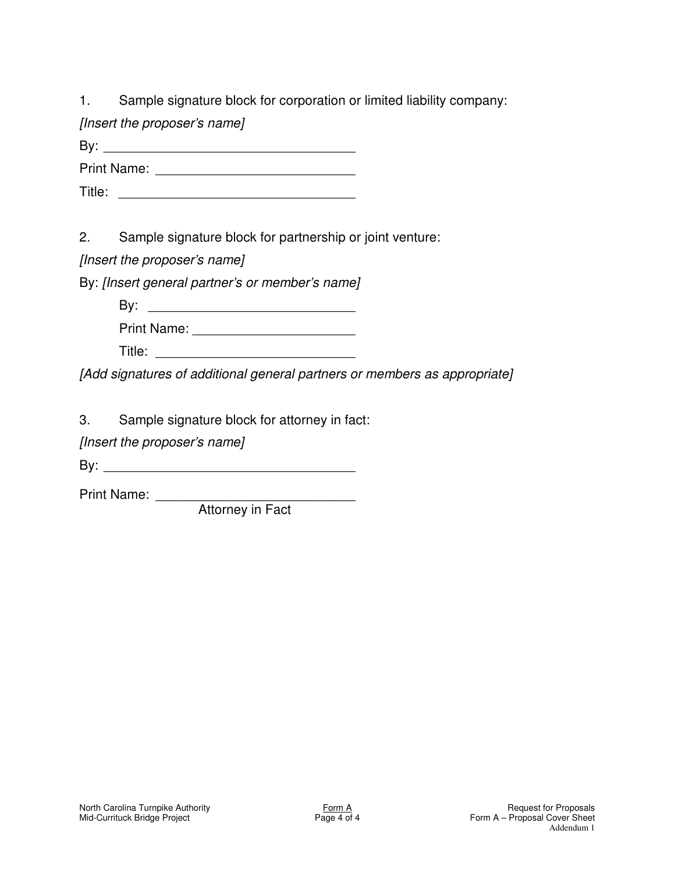1. Sample signature block for corporation or limited liability company:

*[Insert the proposer's name]*

 $\mathsf{By:}$ 

Print Name: \_\_\_\_\_\_\_\_\_\_\_\_\_\_\_\_\_\_\_\_\_\_\_\_\_\_\_

Title: \_\_\_\_\_\_\_\_\_\_\_\_\_\_\_\_\_\_\_\_\_\_\_\_\_\_\_\_\_\_\_\_

2. Sample signature block for partnership or joint venture:

*[Insert the proposer's name]*

By: *[Insert general partner's or member's name]*

By: \_\_\_\_\_\_\_\_\_\_\_\_\_\_\_\_\_\_\_\_\_\_\_\_\_\_\_\_

| <b>Print Name:</b> |  |
|--------------------|--|
|--------------------|--|

*[Add signatures of additional general partners or members as appropriate]*

3. Sample signature block for attorney in fact:

*[Insert the proposer's name]*

By: \_\_\_\_\_\_\_\_\_\_\_\_\_\_\_\_\_\_\_\_\_\_\_\_\_\_\_\_\_\_\_\_\_\_

Print Name: \_\_\_\_\_\_\_\_\_\_\_\_\_\_\_\_\_\_\_\_\_\_\_\_\_\_\_

Attorney in Fact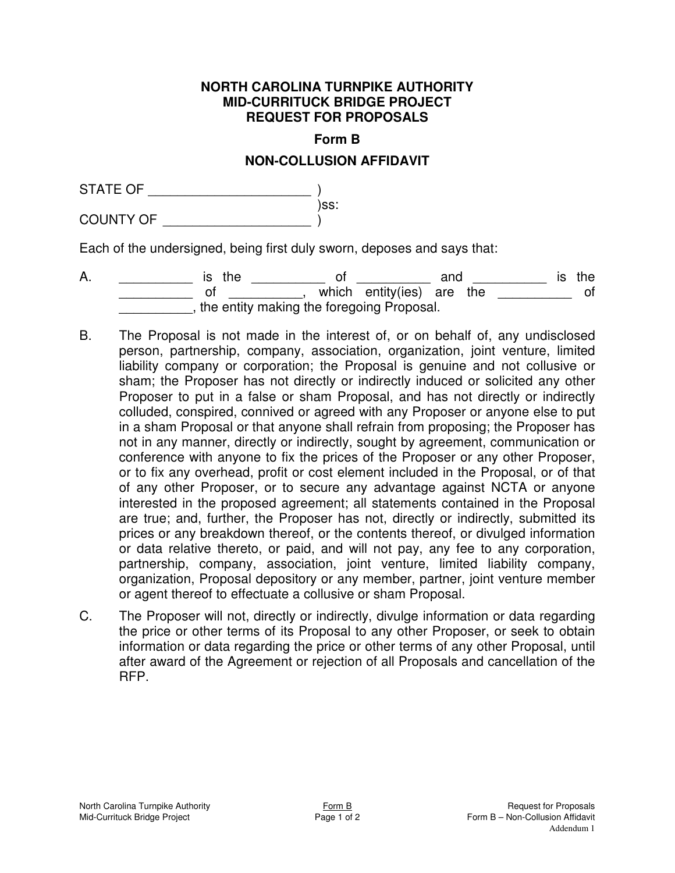**Form B**

## **NON-COLLUSION AFFIDAVIT**

STATE OF \_\_\_\_\_\_\_\_\_\_\_\_\_\_\_\_\_\_\_\_\_\_ ) )ss: COUNTY OF \_\_\_\_\_\_\_\_\_\_\_\_\_\_\_\_\_\_\_\_ )

Each of the undersigned, being first duly sworn, deposes and says that:

- A. \_\_\_\_\_\_\_\_\_\_\_\_\_ is the \_\_\_\_\_\_\_\_\_\_\_\_ of \_\_\_\_\_\_\_\_\_\_\_ and \_\_\_\_\_\_\_\_\_\_\_\_ is the \_\_\_\_\_\_\_\_\_\_ of \_\_\_\_\_\_\_\_\_\_, which entity(ies) are the \_\_\_\_\_\_\_\_\_\_ of \_\_\_\_\_\_\_\_\_\_, the entity making the foregoing Proposal.
- B. The Proposal is not made in the interest of, or on behalf of, any undisclosed person, partnership, company, association, organization, joint venture, limited liability company or corporation; the Proposal is genuine and not collusive or sham; the Proposer has not directly or indirectly induced or solicited any other Proposer to put in a false or sham Proposal, and has not directly or indirectly colluded, conspired, connived or agreed with any Proposer or anyone else to put in a sham Proposal or that anyone shall refrain from proposing; the Proposer has not in any manner, directly or indirectly, sought by agreement, communication or conference with anyone to fix the prices of the Proposer or any other Proposer, or to fix any overhead, profit or cost element included in the Proposal, or of that of any other Proposer, or to secure any advantage against NCTA or anyone interested in the proposed agreement; all statements contained in the Proposal are true; and, further, the Proposer has not, directly or indirectly, submitted its prices or any breakdown thereof, or the contents thereof, or divulged information or data relative thereto, or paid, and will not pay, any fee to any corporation, partnership, company, association, joint venture, limited liability company, organization, Proposal depository or any member, partner, joint venture member or agent thereof to effectuate a collusive or sham Proposal.
- C. The Proposer will not, directly or indirectly, divulge information or data regarding the price or other terms of its Proposal to any other Proposer, or seek to obtain information or data regarding the price or other terms of any other Proposal, until after award of the Agreement or rejection of all Proposals and cancellation of the RFP.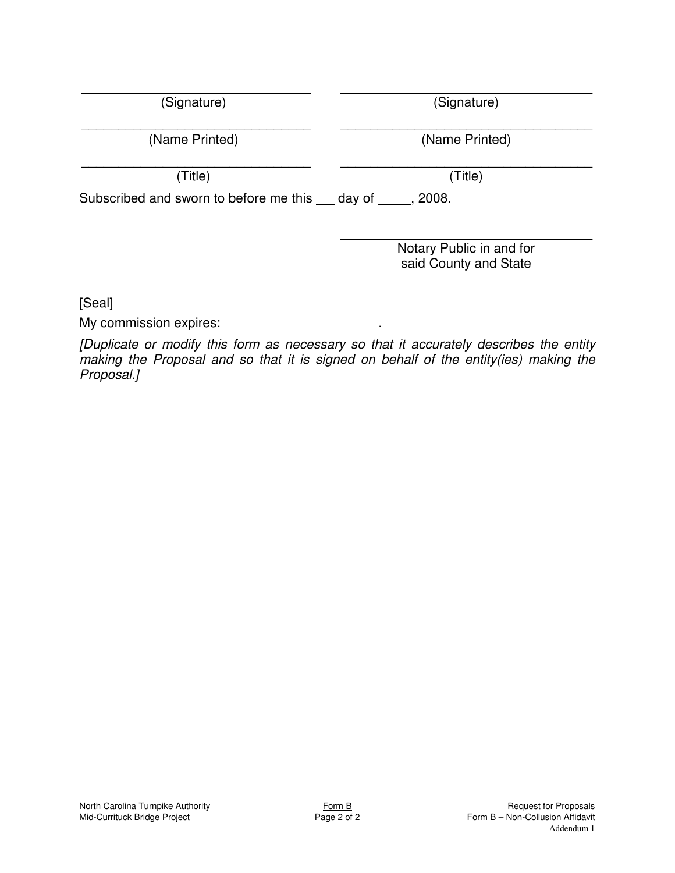| North Carolina Turnpike Authority |
|-----------------------------------|
| Mid-Currituck Bridge Project      |

 $\overline{\phantom{a}}$  , and the contribution of the contribution of the contribution of the contribution of the contribution of the contribution of the contribution of the contribution of the contribution of the contribution of the (Signature) (Signature)

(Name Printed) (Name Printed)

 $\overline{\phantom{a}}$  , and the contribution of the contribution of the contribution of the contribution of the contribution of the contribution of the contribution of the contribution of the contribution of the contribution of the (Title) (Title)

Subscribed and sworn to before me this  $a$  day of  $a$ , 2008.

\_\_\_\_\_\_\_\_\_\_\_\_\_\_\_\_\_\_\_\_\_\_\_\_\_\_\_\_\_\_\_\_\_\_ Notary Public in and for said County and State

[Seal]

My commission expires: **with an expires** of the state of the state of the state of the state of the state of the state of the state of the state of the state of the state of the state of the state of the state of the state

*[Duplicate or modify this form as necessary so that it accurately describes the entity making the Proposal and so that it is signed on behalf of the entity(ies) making the Proposal.]*

 $\overline{\phantom{a}}$  , and the contribution of the contribution of the contribution of the contribution of the contribution of the contribution of the contribution of the contribution of the contribution of the contribution of the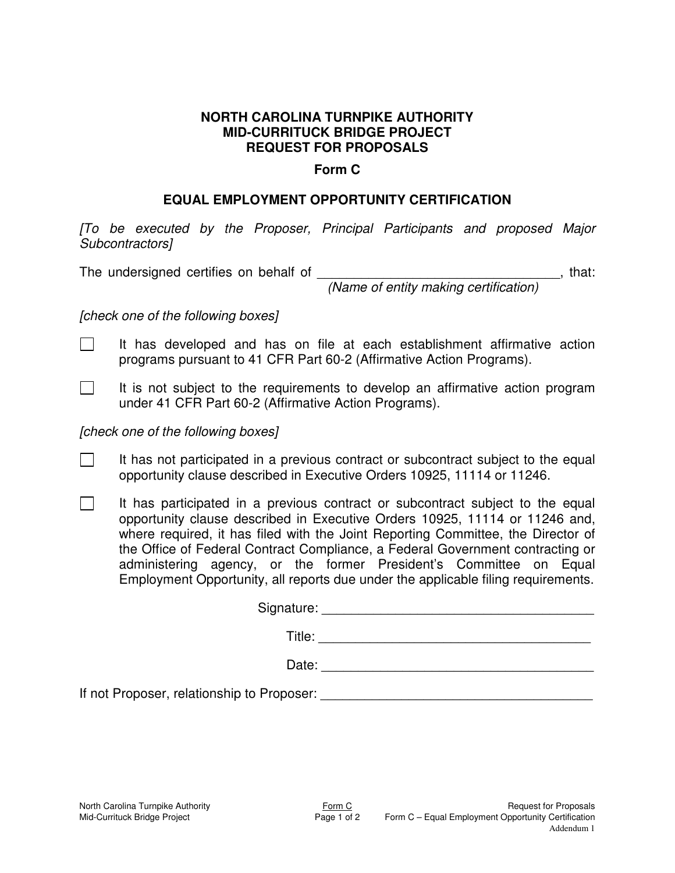#### **Form C**

## **EQUAL EMPLOYMENT OPPORTUNITY CERTIFICATION**

*[To be executed by the Proposer, Principal Participants and proposed Major Subcontractors]*

The undersigned certifies on behalf of \_\_\_\_\_\_\_\_\_\_\_\_\_\_\_\_\_\_\_\_\_\_\_\_\_\_\_\_\_\_\_\_\_, that:

*(Name of entity making certification)*

*[check one of the following boxes]*

- $\Box$ It has developed and has on file at each establishment affirmative action programs pursuant to 41 CFR Part 60-2 (Affirmative Action Programs).
- $\Box$ It is not subject to the requirements to develop an affirmative action program under 41 CFR Part 60-2 (Affirmative Action Programs).

*[check one of the following boxes]*

- $\Box$ It has not participated in a previous contract or subcontract subject to the equal opportunity clause described in Executive Orders 10925, 11114 or 11246.
- $\Box$ It has participated in a previous contract or subcontract subject to the equal opportunity clause described in Executive Orders 10925, 11114 or 11246 and, where required, it has filed with the Joint Reporting Committee, the Director of the Office of Federal Contract Compliance, a Federal Government contracting or administering agency, or the former President's Committee on Equal Employment Opportunity, all reports due under the applicable filing requirements.

| Signature:                                 |  |
|--------------------------------------------|--|
| Title:                                     |  |
| Date:                                      |  |
| If not Proposer, relationship to Proposer: |  |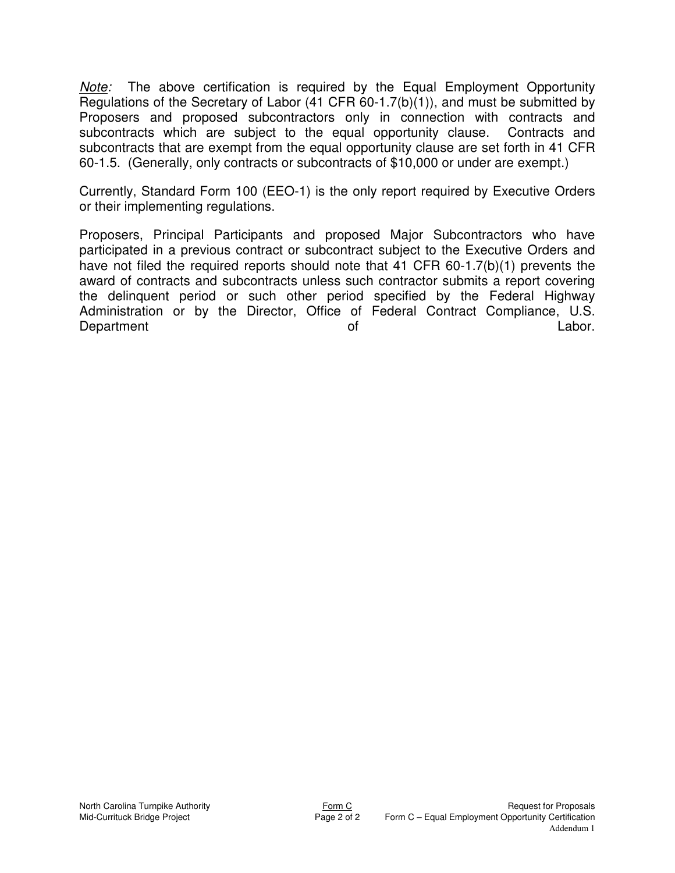*Note:* The above certification is required by the Equal Employment Opportunity Regulations of the Secretary of Labor (41 CFR 60-1.7(b)(1)), and must be submitted by Proposers and proposed subcontractors only in connection with contracts and subcontracts which are subject to the equal opportunity clause. Contracts and subcontracts that are exempt from the equal opportunity clause are set forth in 41 CFR 60-1.5. (Generally, only contracts or subcontracts of \$10,000 or under are exempt.)

Currently, Standard Form 100 (EEO-1) is the only report required by Executive Orders or their implementing regulations.

Proposers, Principal Participants and proposed Major Subcontractors who have participated in a previous contract or subcontract subject to the Executive Orders and have not filed the required reports should note that 41 CFR 60-1.7(b)(1) prevents the award of contracts and subcontracts unless such contractor submits a report covering the delinquent period or such other period specified by the Federal Highway Administration or by the Director, Office of Federal Contract Compliance, U.S. Department Labor.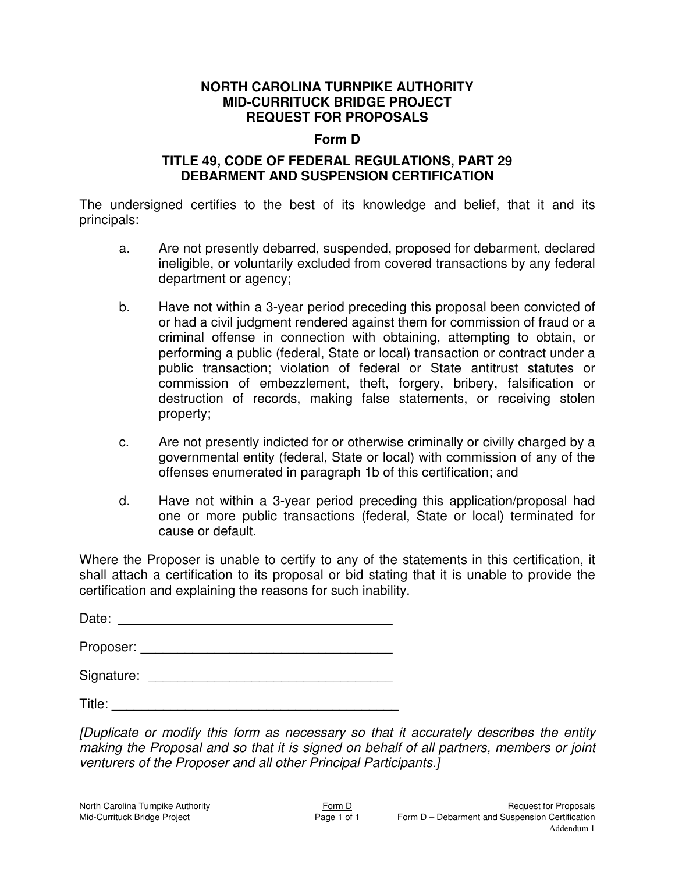#### **Form D**

## **TITLE 49, CODE OF FEDERAL REGULATIONS, PART 29 DEBARMENT AND SUSPENSION CERTIFICATION**

The undersigned certifies to the best of its knowledge and belief, that it and its principals:

- a. Are not presently debarred, suspended, proposed for debarment, declared ineligible, or voluntarily excluded from covered transactions by any federal department or agency;
- b. Have not within a 3-year period preceding this proposal been convicted of or had a civil judgment rendered against them for commission of fraud or a criminal offense in connection with obtaining, attempting to obtain, or performing a public (federal, State or local) transaction or contract under a public transaction; violation of federal or State antitrust statutes or commission of embezzlement, theft, forgery, bribery, falsification or destruction of records, making false statements, or receiving stolen property;
- c. Are not presently indicted for or otherwise criminally or civilly charged by a governmental entity (federal, State or local) with commission of any of the offenses enumerated in paragraph 1b of this certification; and
- d. Have not within a 3-year period preceding this application/proposal had one or more public transactions (federal, State or local) terminated for cause or default.

Where the Proposer is unable to certify to any of the statements in this certification, it shall attach a certification to its proposal or bid stating that it is unable to provide the certification and explaining the reasons for such inability.

Date: \_\_\_\_\_\_\_\_\_\_\_\_\_\_\_\_\_\_\_\_\_\_\_\_\_\_\_\_\_\_\_\_\_\_\_\_\_

Proposer: \_\_\_\_\_\_\_\_\_\_\_\_\_\_\_\_\_\_\_\_\_\_\_\_\_\_\_\_\_\_\_\_\_\_

Signature: \_\_\_\_\_\_\_\_\_\_\_\_\_\_\_\_\_\_\_\_\_\_\_\_\_\_\_\_\_\_\_\_\_

 $\mathsf{Title:}\hspace{2.2cm}$ 

*[Duplicate or modify this form as necessary so that it accurately describes the entity making the Proposal and so that it is signed on behalf of all partners, members or joint venturers of the Proposer and all other Principal Participants.]*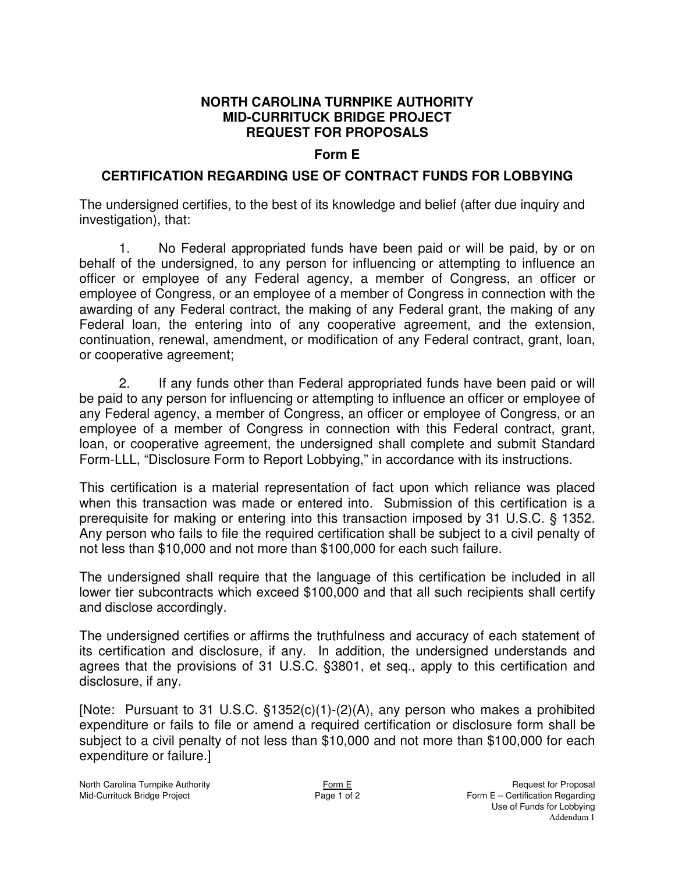## **Form E**

# **CERTIFICATION REGARDING USE OF CONTRACT FUNDS FOR LOBBYING**

The undersigned certifies, to the best of its knowledge and belief (after due inquiry and investigation), that:

1. No Federal appropriated funds have been paid or will be paid, by or on behalf of the undersigned, to any person for influencing or attempting to influence an officer or employee of any Federal agency, a member of Congress, an officer or employee of Congress, or an employee of a member of Congress in connection with the awarding of any Federal contract, the making of any Federal grant, the making of any Federal loan, the entering into of any cooperative agreement, and the extension, continuation, renewal, amendment, or modification of any Federal contract, grant, loan, or cooperative agreement;

2. If any funds other than Federal appropriated funds have been paid or will be paid to any person for influencing or attempting to influence an officer or employee of any Federal agency, a member of Congress, an officer or employee of Congress, or an employee of a member of Congress in connection with this Federal contract, grant, loan, or cooperative agreement, the undersigned shall complete and submit Standard Form-LLL, "Disclosure Form to Report Lobbying," in accordance with its instructions.

This certification is a material representation of fact upon which reliance was placed when this transaction was made or entered into. Submission of this certification is a prerequisite for making or entering into this transaction imposed by 31 U.S.C. § 1352. Any person who fails to file the required certification shall be subject to a civil penalty of not less than \$10,000 and not more than \$100,000 for each such failure.

The undersigned shall require that the language of this certification be included in all lower tier subcontracts which exceed \$100,000 and that all such recipients shall certify and disclose accordingly.

The undersigned certifies or affirms the truthfulness and accuracy of each statement of its certification and disclosure, if any. In addition, the undersigned understands and agrees that the provisions of 31 U.S.C. §3801, et seq., apply to this certification and disclosure, if any.

[Note: Pursuant to 31 U.S.C. §1352(c)(1)-(2)(A), any person who makes a prohibited expenditure or fails to file or amend a required certification or disclosure form shall be subject to a civil penalty of not less than \$10,000 and not more than \$100,000 for each expenditure or failure.]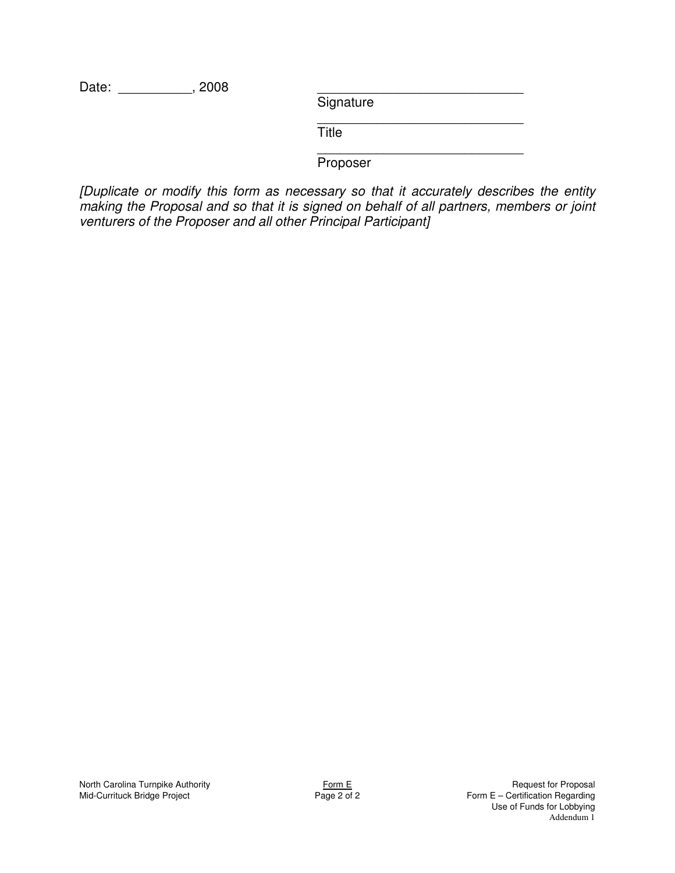Date: \_\_\_\_\_\_\_\_\_\_\_\_\_, 2008

**Signature** 

\_\_\_\_\_\_\_\_\_\_\_\_\_\_\_\_\_\_\_\_\_\_\_\_\_\_\_\_ **Title** 

\_\_\_\_\_\_\_\_\_\_\_\_\_\_\_\_\_\_\_\_\_\_\_\_\_\_\_\_ **Proposer** 

*[Duplicate or modify this form as necessary so that it accurately describes the entity making the Proposal and so that it is signed on behalf of all partners, members or joint venturers of the Proposer and all other Principal Participant]*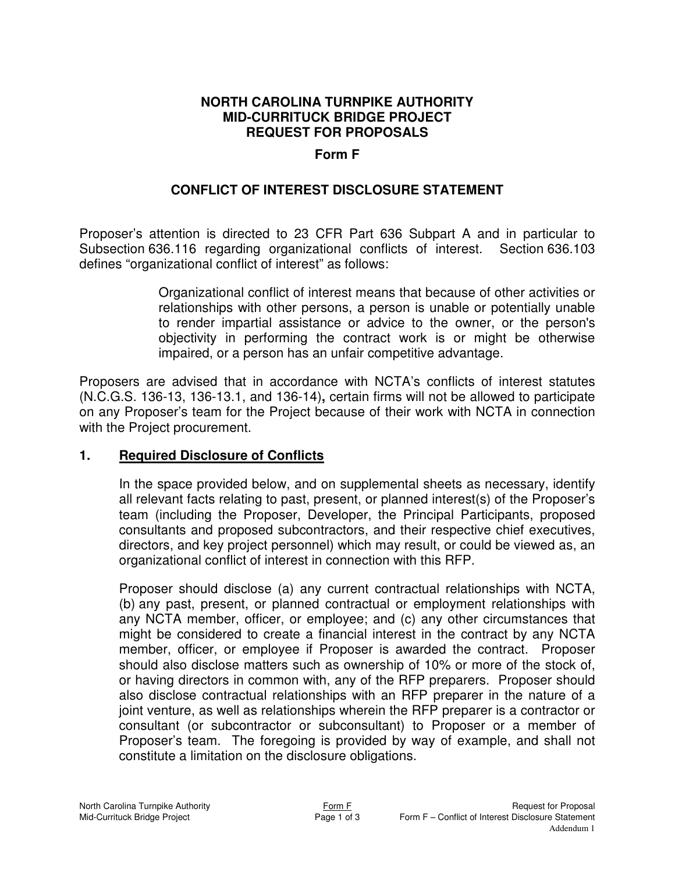## **Form F**

## **CONFLICT OF INTEREST DISCLOSURE STATEMENT**

Proposer's attention is directed to 23 CFR Part 636 Subpart A and in particular to Subsection 636.116 regarding organizational conflicts of interest. Section 636.103 defines "organizational conflict of interest" as follows:

> Organizational conflict of interest means that because of other activities or relationships with other persons, a person is unable or potentially unable to render impartial assistance or advice to the owner, or the person's objectivity in performing the contract work is or might be otherwise impaired, or a person has an unfair competitive advantage.

Proposers are advised that in accordance with NCTA's conflicts of interest statutes (N.C.G.S. 136-13, 136-13.1, and 136-14)**,** certain firms will not be allowed to participate on any Proposer's team for the Project because of their work with NCTA in connection with the Project procurement.

#### **1. Required Disclosure of Conflicts**

In the space provided below, and on supplemental sheets as necessary, identify all relevant facts relating to past, present, or planned interest(s) of the Proposer's team (including the Proposer, Developer, the Principal Participants, proposed consultants and proposed subcontractors, and their respective chief executives, directors, and key project personnel) which may result, or could be viewed as, an organizational conflict of interest in connection with this RFP.

Proposer should disclose (a) any current contractual relationships with NCTA, (b) any past, present, or planned contractual or employment relationships with any NCTA member, officer, or employee; and (c) any other circumstances that might be considered to create a financial interest in the contract by any NCTA member, officer, or employee if Proposer is awarded the contract. Proposer should also disclose matters such as ownership of 10% or more of the stock of, or having directors in common with, any of the RFP preparers. Proposer should also disclose contractual relationships with an RFP preparer in the nature of a joint venture, as well as relationships wherein the RFP preparer is a contractor or consultant (or subcontractor or subconsultant) to Proposer or a member of Proposer's team. The foregoing is provided by way of example, and shall not constitute a limitation on the disclosure obligations.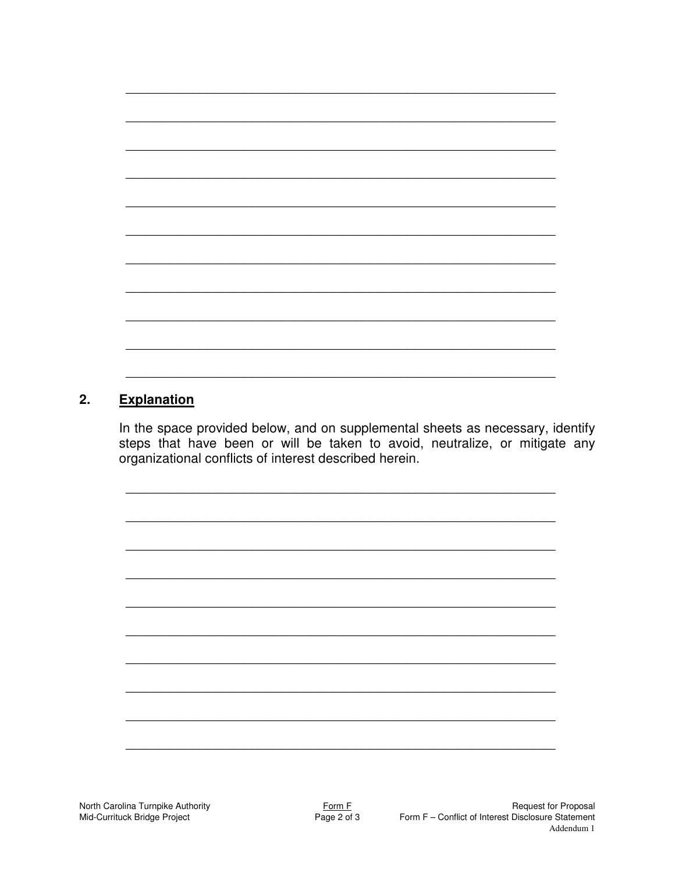#### **Explanation**  $2.$

In the space provided below, and on supplemental sheets as necessary, identify steps that have been or will be taken to avoid, neutralize, or mitigate any organizational conflicts of interest described herein.

North Carolina Turnpike Authority Mid-Currituck Bridge Project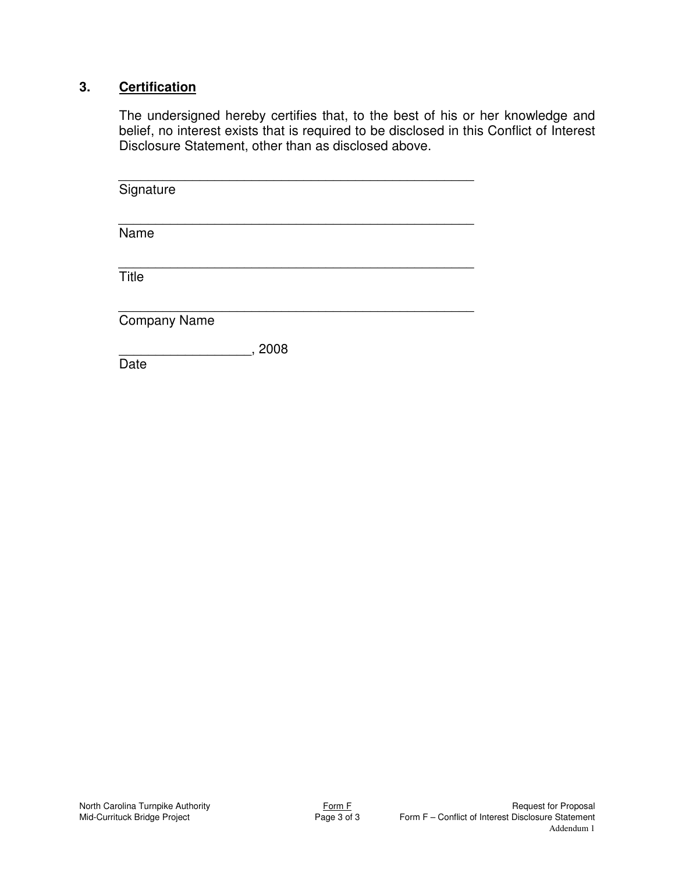# **3. Certification**

The undersigned hereby certifies that, to the best of his or her knowledge and belief, no interest exists that is required to be disclosed in this Conflict of Interest Disclosure Statement, other than as disclosed above.

| Signature           |        |  |  |
|---------------------|--------|--|--|
| Name                |        |  |  |
| Title               |        |  |  |
| <b>Company Name</b> |        |  |  |
| Date                | , 2008 |  |  |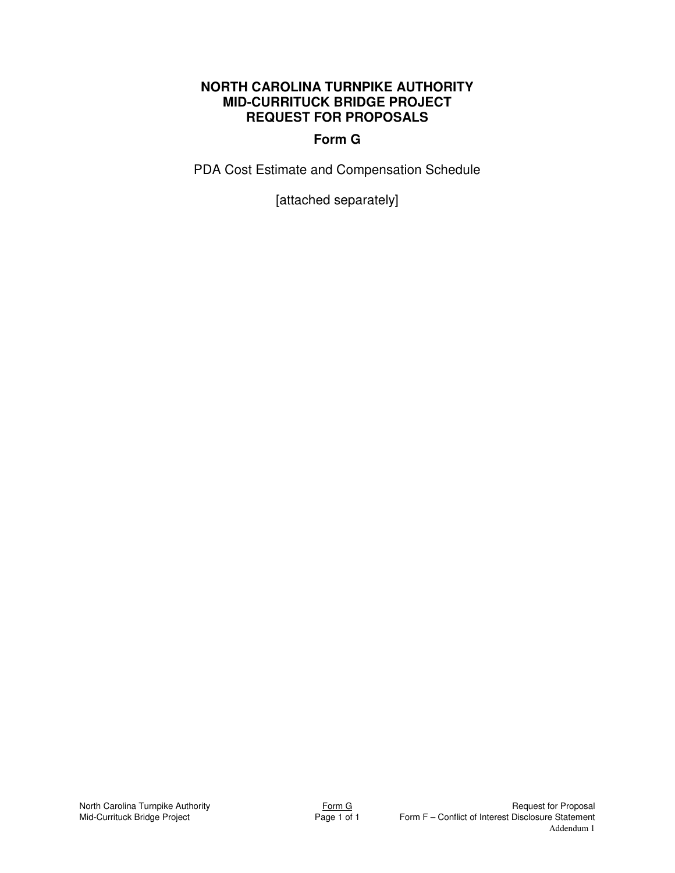## **Form G**

PDA Cost Estimate and Compensation Schedule

[attached separately]